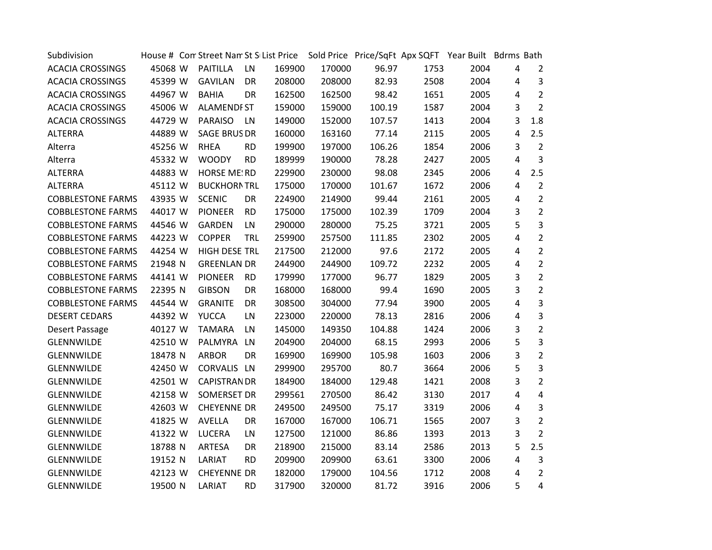| Subdivision              |         |                      |            |        | House # Com Street Nam St S List Price Sold Price Price/SqFt Apx SQFT Year Built Bdrms Bath |        |      |      |   |                |
|--------------------------|---------|----------------------|------------|--------|---------------------------------------------------------------------------------------------|--------|------|------|---|----------------|
| <b>ACACIA CROSSINGS</b>  | 45068 W | <b>PAITILLA</b>      | LN         | 169900 | 170000                                                                                      | 96.97  | 1753 | 2004 | 4 | $\overline{2}$ |
| <b>ACACIA CROSSINGS</b>  | 45399 W | <b>GAVILAN</b>       | DR         | 208000 | 208000                                                                                      | 82.93  | 2508 | 2004 | 4 | 3              |
| <b>ACACIA CROSSINGS</b>  | 44967 W | <b>BAHIA</b>         | DR         | 162500 | 162500                                                                                      | 98.42  | 1651 | 2005 | 4 | $\overline{2}$ |
| <b>ACACIA CROSSINGS</b>  | 45006 W | <b>ALAMENDFST</b>    |            | 159000 | 159000                                                                                      | 100.19 | 1587 | 2004 | 3 | $\overline{2}$ |
| <b>ACACIA CROSSINGS</b>  | 44729 W | PARAISO              | <b>LN</b>  | 149000 | 152000                                                                                      | 107.57 | 1413 | 2004 | 3 | 1.8            |
| <b>ALTERRA</b>           | 44889 W | <b>SAGE BRUS DR</b>  |            | 160000 | 163160                                                                                      | 77.14  | 2115 | 2005 | 4 | 2.5            |
| Alterra                  | 45256 W | <b>RHEA</b>          | <b>RD</b>  | 199900 | 197000                                                                                      | 106.26 | 1854 | 2006 | 3 | $\overline{2}$ |
| Alterra                  | 45332 W | <b>WOODY</b>         | <b>RD</b>  | 189999 | 190000                                                                                      | 78.28  | 2427 | 2005 | 4 | 3              |
| <b>ALTERRA</b>           | 44883 W | <b>HORSE ME!RD</b>   |            | 229900 | 230000                                                                                      | 98.08  | 2345 | 2006 | 4 | 2.5            |
| <b>ALTERRA</b>           | 45112 W | <b>BUCKHORNTRL</b>   |            | 175000 | 170000                                                                                      | 101.67 | 1672 | 2006 | 4 | $\overline{2}$ |
| <b>COBBLESTONE FARMS</b> | 43935 W | <b>SCENIC</b>        | DR         | 224900 | 214900                                                                                      | 99.44  | 2161 | 2005 | 4 | $\overline{2}$ |
| <b>COBBLESTONE FARMS</b> | 44017 W | <b>PIONEER</b>       | <b>RD</b>  | 175000 | 175000                                                                                      | 102.39 | 1709 | 2004 | 3 | $\overline{2}$ |
| <b>COBBLESTONE FARMS</b> | 44546 W | GARDEN               | LN         | 290000 | 280000                                                                                      | 75.25  | 3721 | 2005 | 5 | $\overline{3}$ |
| <b>COBBLESTONE FARMS</b> | 44223 W | <b>COPPER</b>        | <b>TRL</b> | 259900 | 257500                                                                                      | 111.85 | 2302 | 2005 | 4 | $\overline{2}$ |
| <b>COBBLESTONE FARMS</b> | 44254 W | <b>HIGH DESEITRL</b> |            | 217500 | 212000                                                                                      | 97.6   | 2172 | 2005 | 4 | $\overline{2}$ |
| <b>COBBLESTONE FARMS</b> | 21948 N | <b>GREENLAN DR</b>   |            | 244900 | 244900                                                                                      | 109.72 | 2232 | 2005 | 4 | $\overline{2}$ |
| <b>COBBLESTONE FARMS</b> | 44141 W | <b>PIONEER</b>       | <b>RD</b>  | 179990 | 177000                                                                                      | 96.77  | 1829 | 2005 | 3 | $\overline{2}$ |
| <b>COBBLESTONE FARMS</b> | 22395 N | <b>GIBSON</b>        | DR         | 168000 | 168000                                                                                      | 99.4   | 1690 | 2005 | 3 | $\overline{2}$ |
| <b>COBBLESTONE FARMS</b> | 44544 W | <b>GRANITE</b>       | DR         | 308500 | 304000                                                                                      | 77.94  | 3900 | 2005 | 4 | $\overline{3}$ |
| <b>DESERT CEDARS</b>     | 44392 W | <b>YUCCA</b>         | LN         | 223000 | 220000                                                                                      | 78.13  | 2816 | 2006 | 4 | $\overline{3}$ |
| Desert Passage           | 40127 W | <b>TAMARA</b>        | LN         | 145000 | 149350                                                                                      | 104.88 | 1424 | 2006 | 3 | $\overline{2}$ |
| <b>GLENNWILDE</b>        | 42510 W | PALMYRA              | LN         | 204900 | 204000                                                                                      | 68.15  | 2993 | 2006 | 5 | $\overline{3}$ |
| GLENNWILDE               | 18478 N | <b>ARBOR</b>         | DR         | 169900 | 169900                                                                                      | 105.98 | 1603 | 2006 | 3 | $\overline{2}$ |
| <b>GLENNWILDE</b>        | 42450 W | CORVALIS LN          |            | 299900 | 295700                                                                                      | 80.7   | 3664 | 2006 | 5 | $\overline{3}$ |
| <b>GLENNWILDE</b>        | 42501 W | <b>CAPISTRANDR</b>   |            | 184900 | 184000                                                                                      | 129.48 | 1421 | 2008 | 3 | $\overline{2}$ |
| <b>GLENNWILDE</b>        | 42158 W | SOMERSET DR          |            | 299561 | 270500                                                                                      | 86.42  | 3130 | 2017 | 4 | 4              |
| <b>GLENNWILDE</b>        | 42603 W | <b>CHEYENNE DR</b>   |            | 249500 | 249500                                                                                      | 75.17  | 3319 | 2006 | 4 | 3              |
| GLENNWILDE               | 41825 W | AVELLA               | DR         | 167000 | 167000                                                                                      | 106.71 | 1565 | 2007 | 3 | $\overline{2}$ |
| GLENNWILDE               | 41322 W | <b>LUCERA</b>        | LN         | 127500 | 121000                                                                                      | 86.86  | 1393 | 2013 | 3 | $\overline{2}$ |
| GLENNWILDE               | 18788 N | ARTESA               | DR         | 218900 | 215000                                                                                      | 83.14  | 2586 | 2013 | 5 | 2.5            |
| GLENNWILDE               | 19152 N | LARIAT               | <b>RD</b>  | 209900 | 209900                                                                                      | 63.61  | 3300 | 2006 | 4 | 3              |
| GLENNWILDE               | 42123 W | <b>CHEYENNE DR</b>   |            | 182000 | 179000                                                                                      | 104.56 | 1712 | 2008 | 4 | $\overline{2}$ |
| <b>GLENNWILDE</b>        | 19500 N | LARIAT               | <b>RD</b>  | 317900 | 320000                                                                                      | 81.72  | 3916 | 2006 | 5 | 4              |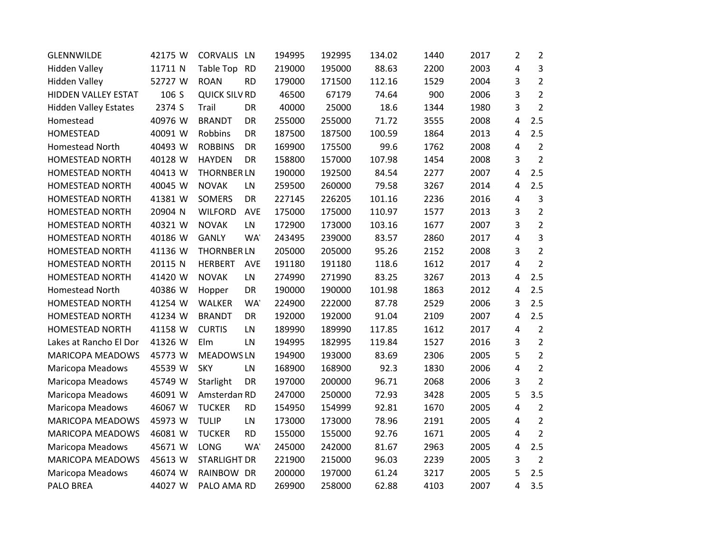| <b>GLENNWILDE</b>            | 42175 W | <b>CORVALIS</b>      | LN         | 194995 | 192995 | 134.02 | 1440 | 2017 | 2 | $\overline{2}$ |
|------------------------------|---------|----------------------|------------|--------|--------|--------|------|------|---|----------------|
| <b>Hidden Valley</b>         | 11711 N | Table Top            | <b>RD</b>  | 219000 | 195000 | 88.63  | 2200 | 2003 | 4 | $\overline{3}$ |
| <b>Hidden Valley</b>         | 52727 W | <b>ROAN</b>          | <b>RD</b>  | 179000 | 171500 | 112.16 | 1529 | 2004 | 3 | $\overline{2}$ |
| HIDDEN VALLEY ESTAT          | 106 S   | <b>QUICK SILV RD</b> |            | 46500  | 67179  | 74.64  | 900  | 2006 | 3 | $\overline{2}$ |
| <b>Hidden Valley Estates</b> | 2374 S  | Trail                | DR         | 40000  | 25000  | 18.6   | 1344 | 1980 | 3 | $\overline{2}$ |
| Homestead                    | 40976 W | <b>BRANDT</b>        | DR         | 255000 | 255000 | 71.72  | 3555 | 2008 | 4 | 2.5            |
| <b>HOMESTEAD</b>             | 40091 W | Robbins              | DR         | 187500 | 187500 | 100.59 | 1864 | 2013 | 4 | 2.5            |
| Homestead North              | 40493 W | <b>ROBBINS</b>       | DR         | 169900 | 175500 | 99.6   | 1762 | 2008 | 4 | $\overline{2}$ |
| HOMESTEAD NORTH              | 40128 W | <b>HAYDEN</b>        | DR         | 158800 | 157000 | 107.98 | 1454 | 2008 | 3 | $\overline{2}$ |
| <b>HOMESTEAD NORTH</b>       | 40413 W | <b>THORNBER LN</b>   |            | 190000 | 192500 | 84.54  | 2277 | 2007 | 4 | 2.5            |
| <b>HOMESTEAD NORTH</b>       | 40045 W | <b>NOVAK</b>         | LN         | 259500 | 260000 | 79.58  | 3267 | 2014 | 4 | 2.5            |
| HOMESTEAD NORTH              | 41381 W | <b>SOMERS</b>        | DR         | 227145 | 226205 | 101.16 | 2236 | 2016 | 4 | 3              |
| <b>HOMESTEAD NORTH</b>       | 20904 N | <b>WILFORD</b>       | AVE        | 175000 | 175000 | 110.97 | 1577 | 2013 | 3 | $\overline{2}$ |
| HOMESTEAD NORTH              | 40321 W | <b>NOVAK</b>         | LN         | 172900 | 173000 | 103.16 | 1677 | 2007 | 3 | $\overline{2}$ |
| <b>HOMESTEAD NORTH</b>       | 40186 W | <b>GANLY</b>         | <b>WA</b>  | 243495 | 239000 | 83.57  | 2860 | 2017 | 4 | $\overline{3}$ |
| <b>HOMESTEAD NORTH</b>       | 41136 W | <b>THORNBER LN</b>   |            | 205000 | 205000 | 95.26  | 2152 | 2008 | 3 | $\overline{2}$ |
| <b>HOMESTEAD NORTH</b>       | 20115 N | <b>HERBERT</b>       | <b>AVE</b> | 191180 | 191180 | 118.6  | 1612 | 2017 | 4 | $\overline{2}$ |
| <b>HOMESTEAD NORTH</b>       | 41420 W | <b>NOVAK</b>         | LN         | 274990 | 271990 | 83.25  | 3267 | 2013 | 4 | 2.5            |
| Homestead North              | 40386 W | Hopper               | DR         | 190000 | 190000 | 101.98 | 1863 | 2012 | 4 | 2.5            |
| <b>HOMESTEAD NORTH</b>       | 41254 W | WALKER               | <b>WA</b>  | 224900 | 222000 | 87.78  | 2529 | 2006 | 3 | 2.5            |
| HOMESTEAD NORTH              | 41234 W | <b>BRANDT</b>        | DR         | 192000 | 192000 | 91.04  | 2109 | 2007 | 4 | 2.5            |
| <b>HOMESTEAD NORTH</b>       | 41158 W | <b>CURTIS</b>        | LN         | 189990 | 189990 | 117.85 | 1612 | 2017 | 4 | $\overline{2}$ |
| Lakes at Rancho El Dor       | 41326 W | Elm                  | LN         | 194995 | 182995 | 119.84 | 1527 | 2016 | 3 | $\overline{2}$ |
| <b>MARICOPA MEADOWS</b>      | 45773 W | <b>MEADOWS LN</b>    |            | 194900 | 193000 | 83.69  | 2306 | 2005 | 5 | $\overline{2}$ |
| Maricopa Meadows             | 45539 W | <b>SKY</b>           | LN         | 168900 | 168900 | 92.3   | 1830 | 2006 | 4 | $\overline{2}$ |
| Maricopa Meadows             | 45749 W | Starlight            | DR         | 197000 | 200000 | 96.71  | 2068 | 2006 | 3 | $\overline{2}$ |
| Maricopa Meadows             | 46091 W | Amsterdan RD         |            | 247000 | 250000 | 72.93  | 3428 | 2005 | 5 | 3.5            |
| <b>Maricopa Meadows</b>      | 46067 W | <b>TUCKER</b>        | <b>RD</b>  | 154950 | 154999 | 92.81  | 1670 | 2005 | 4 | $\overline{2}$ |
| <b>MARICOPA MEADOWS</b>      | 45973 W | <b>TULIP</b>         | LN         | 173000 | 173000 | 78.96  | 2191 | 2005 | 4 | $\overline{2}$ |
| <b>MARICOPA MEADOWS</b>      | 46081 W | <b>TUCKER</b>        | <b>RD</b>  | 155000 | 155000 | 92.76  | 1671 | 2005 | 4 | $\overline{2}$ |
| Maricopa Meadows             | 45671 W | LONG                 | WA'        | 245000 | 242000 | 81.67  | 2963 | 2005 | 4 | 2.5            |
| <b>MARICOPA MEADOWS</b>      | 45613 W | <b>STARLIGHT DR</b>  |            | 221900 | 215000 | 96.03  | 2239 | 2005 | 3 | $\overline{2}$ |
| Maricopa Meadows             | 46074 W | RAINBOW DR           |            | 200000 | 197000 | 61.24  | 3217 | 2005 | 5 | 2.5            |
| <b>PALO BREA</b>             | 44027 W | PALO AMA RD          |            | 269900 | 258000 | 62.88  | 4103 | 2007 | 4 | 3.5            |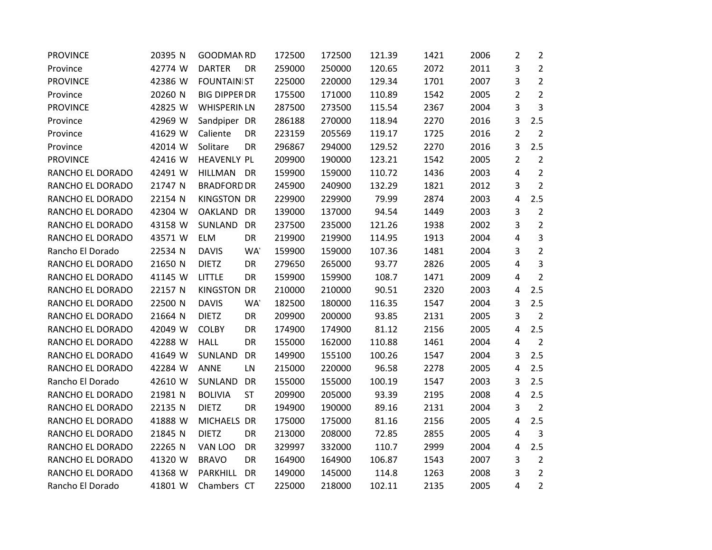| <b>PROVINCE</b>  | 20395 N | GOODMAN RD           |           | 172500 | 172500 | 121.39 | 1421 | 2006 | $\overline{2}$ | $\overline{2}$ |
|------------------|---------|----------------------|-----------|--------|--------|--------|------|------|----------------|----------------|
| Province         | 42774 W | <b>DARTER</b>        | <b>DR</b> | 259000 | 250000 | 120.65 | 2072 | 2011 | 3              | $\overline{2}$ |
| <b>PROVINCE</b>  | 42386 W | <b>FOUNTAINIST</b>   |           | 225000 | 220000 | 129.34 | 1701 | 2007 | 3              | $\overline{2}$ |
| Province         | 20260 N | <b>BIG DIPPER DR</b> |           | 175500 | 171000 | 110.89 | 1542 | 2005 | 2              | $\overline{2}$ |
| <b>PROVINCE</b>  | 42825 W | <b>WHISPERINLN</b>   |           | 287500 | 273500 | 115.54 | 2367 | 2004 | 3              | $\overline{3}$ |
| Province         | 42969 W | Sandpiper DR         |           | 286188 | 270000 | 118.94 | 2270 | 2016 | 3              | 2.5            |
| Province         | 41629 W | Caliente             | DR        | 223159 | 205569 | 119.17 | 1725 | 2016 | $\overline{2}$ | $\overline{2}$ |
| Province         | 42014 W | Solitare             | DR        | 296867 | 294000 | 129.52 | 2270 | 2016 | 3              | 2.5            |
| <b>PROVINCE</b>  | 42416 W | <b>HEAVENLY PL</b>   |           | 209900 | 190000 | 123.21 | 1542 | 2005 | $\overline{2}$ | $\overline{2}$ |
| RANCHO EL DORADO | 42491 W | <b>HILLMAN</b>       | DR        | 159900 | 159000 | 110.72 | 1436 | 2003 | 4              | $\overline{2}$ |
| RANCHO EL DORADO | 21747 N | <b>BRADFORD DR</b>   |           | 245900 | 240900 | 132.29 | 1821 | 2012 | 3              | $\overline{2}$ |
| RANCHO EL DORADO | 22154 N | <b>KINGSTON DR</b>   |           | 229900 | 229900 | 79.99  | 2874 | 2003 | 4              | 2.5            |
| RANCHO EL DORADO | 42304 W | OAKLAND DR           |           | 139000 | 137000 | 94.54  | 1449 | 2003 | 3              | $\overline{2}$ |
| RANCHO EL DORADO | 43158 W | SUNLAND              | DR        | 237500 | 235000 | 121.26 | 1938 | 2002 | 3              | $\overline{2}$ |
| RANCHO EL DORADO | 43571 W | <b>ELM</b>           | DR        | 219900 | 219900 | 114.95 | 1913 | 2004 | 4              | $\overline{3}$ |
| Rancho El Dorado | 22534 N | <b>DAVIS</b>         | <b>WA</b> | 159900 | 159000 | 107.36 | 1481 | 2004 | 3              | $\overline{2}$ |
| RANCHO EL DORADO | 21650 N | <b>DIETZ</b>         | DR        | 279650 | 265000 | 93.77  | 2826 | 2005 | 4              | 3              |
| RANCHO EL DORADO | 41145 W | <b>LITTLE</b>        | DR        | 159900 | 159900 | 108.7  | 1471 | 2009 | 4              | $\overline{2}$ |
| RANCHO EL DORADO | 22157 N | <b>KINGSTON DR</b>   |           | 210000 | 210000 | 90.51  | 2320 | 2003 | $\overline{4}$ | 2.5            |
| RANCHO EL DORADO | 22500 N | <b>DAVIS</b>         | WA'       | 182500 | 180000 | 116.35 | 1547 | 2004 | 3              | 2.5            |
| RANCHO EL DORADO | 21664 N | <b>DIETZ</b>         | DR        | 209900 | 200000 | 93.85  | 2131 | 2005 | 3              | $\overline{2}$ |
| RANCHO EL DORADO | 42049 W | <b>COLBY</b>         | DR        | 174900 | 174900 | 81.12  | 2156 | 2005 | 4              | 2.5            |
| RANCHO EL DORADO | 42288 W | <b>HALL</b>          | DR        | 155000 | 162000 | 110.88 | 1461 | 2004 | 4              | $\overline{2}$ |
| RANCHO EL DORADO | 41649 W | SUNLAND              | DR        | 149900 | 155100 | 100.26 | 1547 | 2004 | 3              | 2.5            |
| RANCHO EL DORADO | 42284 W | <b>ANNE</b>          | LN        | 215000 | 220000 | 96.58  | 2278 | 2005 | 4              | 2.5            |
| Rancho El Dorado | 42610 W | SUNLAND              | <b>DR</b> | 155000 | 155000 | 100.19 | 1547 | 2003 | 3              | 2.5            |
| RANCHO EL DORADO | 21981 N | <b>BOLIVIA</b>       | <b>ST</b> | 209900 | 205000 | 93.39  | 2195 | 2008 | 4              | 2.5            |
| RANCHO EL DORADO | 22135 N | <b>DIETZ</b>         | DR        | 194900 | 190000 | 89.16  | 2131 | 2004 | 3              | $\overline{2}$ |
| RANCHO EL DORADO | 41888 W | MICHAELS DR          |           | 175000 | 175000 | 81.16  | 2156 | 2005 | $\overline{4}$ | 2.5            |
| RANCHO EL DORADO | 21845 N | <b>DIETZ</b>         | DR        | 213000 | 208000 | 72.85  | 2855 | 2005 | 4              | $\overline{3}$ |
| RANCHO EL DORADO | 22265 N | VAN LOO              | DR        | 329997 | 332000 | 110.7  | 2999 | 2004 | 4              | 2.5            |
| RANCHO EL DORADO | 41320 W | <b>BRAVO</b>         | DR        | 164900 | 164900 | 106.87 | 1543 | 2007 | 3              | $\overline{2}$ |
| RANCHO EL DORADO | 41368 W | PARKHILL             | DR        | 149000 | 145000 | 114.8  | 1263 | 2008 | 3              | $\overline{2}$ |
| Rancho El Dorado | 41801 W | Chambers CT          |           | 225000 | 218000 | 102.11 | 2135 | 2005 | 4              | $\overline{2}$ |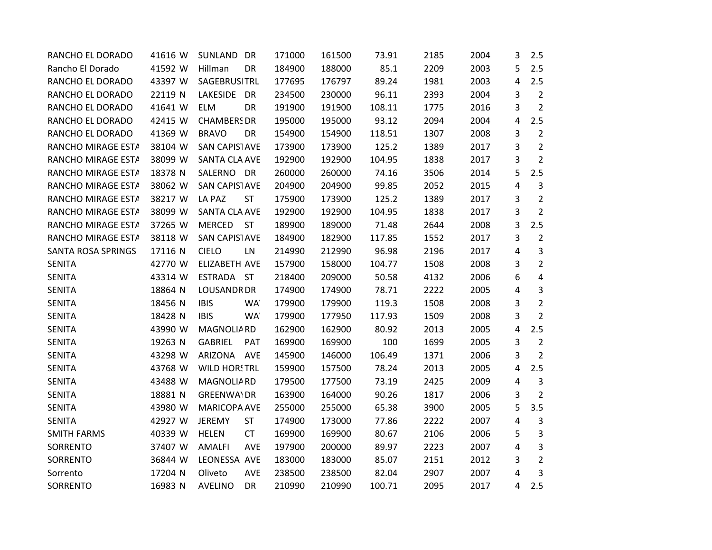| RANCHO EL DORADO   | 41616 W | SUNLAND DR                 | 171000 | 161500 | 73.91  | 2185 | 2004 | 3 | 2.5            |
|--------------------|---------|----------------------------|--------|--------|--------|------|------|---|----------------|
| Rancho El Dorado   | 41592 W | Hillman<br>DR              | 184900 | 188000 | 85.1   | 2209 | 2003 | 5 | 2.5            |
| RANCHO EL DORADO   | 43397 W | SAGEBRUSITRL               | 177695 | 176797 | 89.24  | 1981 | 2003 | 4 | 2.5            |
| RANCHO EL DORADO   | 22119 N | LAKESIDE<br><b>DR</b>      | 234500 | 230000 | 96.11  | 2393 | 2004 | 3 | $\overline{2}$ |
| RANCHO EL DORADO   | 41641 W | <b>ELM</b><br>DR           | 191900 | 191900 | 108.11 | 1775 | 2016 | 3 | $\overline{2}$ |
| RANCHO EL DORADO   | 42415 W | <b>CHAMBERS DR</b>         | 195000 | 195000 | 93.12  | 2094 | 2004 | 4 | 2.5            |
| RANCHO EL DORADO   | 41369 W | <b>BRAVO</b><br>DR         | 154900 | 154900 | 118.51 | 1307 | 2008 | 3 | $\overline{2}$ |
| RANCHO MIRAGE ESTA | 38104 W | <b>SAN CAPISTAVE</b>       | 173900 | 173900 | 125.2  | 1389 | 2017 | 3 | $\overline{2}$ |
| RANCHO MIRAGE ESTA | 38099 W | <b>SANTA CLA AVE</b>       | 192900 | 192900 | 104.95 | 1838 | 2017 | 3 | $\overline{2}$ |
| RANCHO MIRAGE ESTA | 18378 N | SALERNO DR                 | 260000 | 260000 | 74.16  | 3506 | 2014 | 5 | 2.5            |
| RANCHO MIRAGE ESTA | 38062 W | SAN CAPISTAVE              | 204900 | 204900 | 99.85  | 2052 | 2015 | 4 | 3              |
| RANCHO MIRAGE ESTA | 38217 W | LA PAZ<br><b>ST</b>        | 175900 | 173900 | 125.2  | 1389 | 2017 | 3 | $\overline{2}$ |
| RANCHO MIRAGE ESTA | 38099 W | <b>SANTA CLA AVE</b>       | 192900 | 192900 | 104.95 | 1838 | 2017 | 3 | $\overline{2}$ |
| RANCHO MIRAGE ESTA | 37265 W | <b>MERCED</b><br><b>ST</b> | 189900 | 189000 | 71.48  | 2644 | 2008 | 3 | 2.5            |
| RANCHO MIRAGE ESTA | 38118 W | SAN CAPISTAVE              | 184900 | 182900 | 117.85 | 1552 | 2017 | 3 | $\overline{2}$ |
| SANTA ROSA SPRINGS | 17116 N | <b>CIELO</b><br>LN         | 214990 | 212990 | 96.98  | 2196 | 2017 | 4 | 3              |
| <b>SENITA</b>      | 42770 W | ELIZABETH AVE              | 157900 | 158000 | 104.77 | 1508 | 2008 | 3 | $\overline{2}$ |
| <b>SENITA</b>      | 43314 W | ESTRADA ST                 | 218400 | 209000 | 50.58  | 4132 | 2006 | 6 | 4              |
| <b>SENITA</b>      | 18864 N | <b>LOUSANDR DR</b>         | 174900 | 174900 | 78.71  | 2222 | 2005 | 4 | 3              |
| <b>SENITA</b>      | 18456 N | <b>IBIS</b><br>WA'         | 179900 | 179900 | 119.3  | 1508 | 2008 | 3 | $\overline{2}$ |
| <b>SENITA</b>      | 18428 N | <b>IBIS</b><br>WA'         | 179900 | 177950 | 117.93 | 1509 | 2008 | 3 | $\overline{2}$ |
| <b>SENITA</b>      | 43990 W | MAGNOLIA RD                | 162900 | 162900 | 80.92  | 2013 | 2005 | 4 | 2.5            |
| <b>SENITA</b>      | 19263 N | GABRIEL<br>PAT             | 169900 | 169900 | 100    | 1699 | 2005 | 3 | $\overline{2}$ |
| <b>SENITA</b>      | 43298 W | ARIZONA AVE                | 145900 | 146000 | 106.49 | 1371 | 2006 | 3 | $\overline{2}$ |
| <b>SENITA</b>      | 43768 W | <b>WILD HORSTRL</b>        | 159900 | 157500 | 78.24  | 2013 | 2005 | 4 | 2.5            |
| <b>SENITA</b>      | 43488 W | <b>MAGNOLIARD</b>          | 179500 | 177500 | 73.19  | 2425 | 2009 | 4 | 3              |
| <b>SENITA</b>      | 18881 N | <b>GREENWAIDR</b>          | 163900 | 164000 | 90.26  | 1817 | 2006 | 3 | $\overline{2}$ |
| <b>SENITA</b>      | 43980 W | <b>MARICOPA AVE</b>        | 255000 | 255000 | 65.38  | 3900 | 2005 | 5 | 3.5            |
| <b>SENITA</b>      | 42927 W | <b>ST</b><br><b>JEREMY</b> | 174900 | 173000 | 77.86  | 2222 | 2007 | 4 | 3              |
| <b>SMITH FARMS</b> | 40339 W | <b>CT</b><br><b>HELEN</b>  | 169900 | 169900 | 80.67  | 2106 | 2006 | 5 | 3              |
| SORRENTO           | 37407 W | AVE<br><b>AMALFI</b>       | 197900 | 200000 | 89.97  | 2223 | 2007 | 4 | 3              |
| SORRENTO           | 36844 W | LEONESSA AVE               | 183000 | 183000 | 85.07  | 2151 | 2012 | 3 | $\overline{2}$ |
| Sorrento           | 17204 N | AVE<br>Oliveto             | 238500 | 238500 | 82.04  | 2907 | 2007 | 4 | 3              |
| SORRENTO           | 16983 N | DR<br><b>AVELINO</b>       | 210990 | 210990 | 100.71 | 2095 | 2017 | 4 | 2.5            |